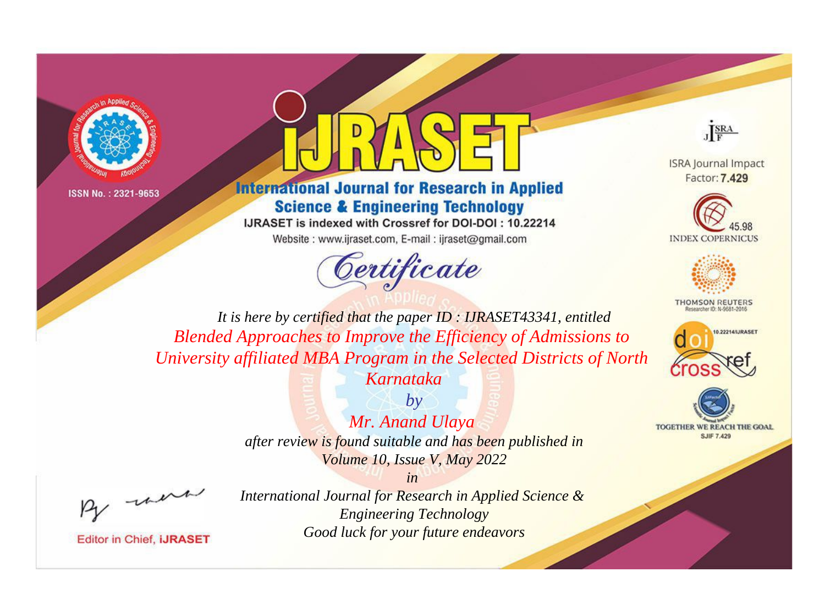

ISSN No.: 2321-9653



## **International Journal for Research in Applied Science & Engineering Technology**

IJRASET is indexed with Crossref for DOI-DOI: 10.22214

Website: www.ijraset.com, E-mail: ijraset@gmail.com





**ISRA Journal Impact** Factor: 7.429





**THOMSON REUTERS** 



TOGETHER WE REACH THE GOAL **SJIF 7.429** 

*It is here by certified that the paper ID : IJRASET43341, entitled Blended Approaches to Improve the Efficiency of Admissions to University affiliated MBA Program in the Selected Districts of North* 

*Karnataka by*

*Mr. Anand Ulaya* 

*after review is found suitable and has been published in Volume 10, Issue V, May 2022*

*in* 

, un

**Editor in Chief, IJRASET** 

*International Journal for Research in Applied Science & Engineering Technology Good luck for your future endeavors*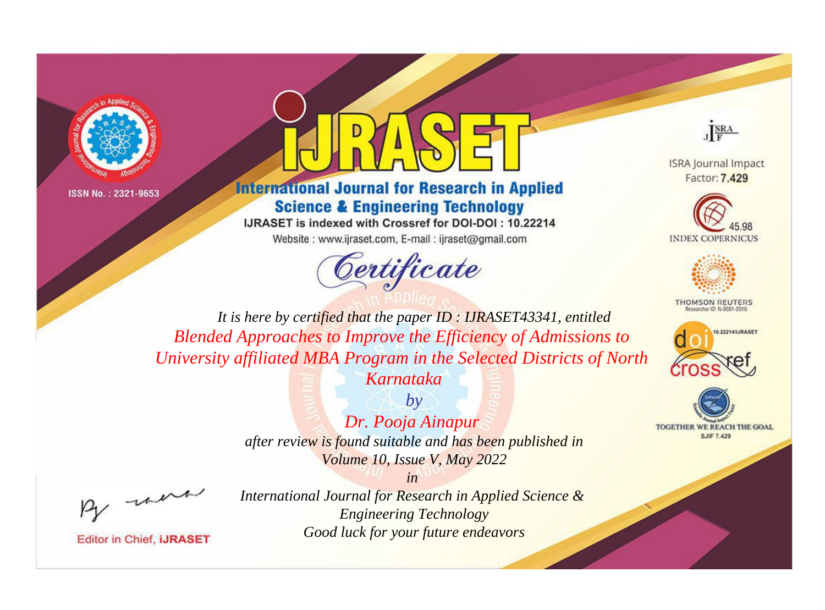

ISSN No.: 2321-9653



## **International Journal for Research in Applied Science & Engineering Technology**

IJRASET is indexed with Crossref for DOI-DOI: 10.22214

Website: www.ijraset.com, E-mail: ijraset@gmail.com





**ISRA Journal Impact** Factor: 7.429





**THOMSON REUTERS** 



TOGETHER WE REACH THE GOAL **SJIF 7.429** 

*It is here by certified that the paper ID : IJRASET43341, entitled Blended Approaches to Improve the Efficiency of Admissions to University affiliated MBA Program in the Selected Districts of North* 

*Karnataka by*

*Dr. Pooja Ainapur after review is found suitable and has been published in Volume 10, Issue V, May 2022*

*in* 

, un

**Editor in Chief, IJRASET** 

*International Journal for Research in Applied Science & Engineering Technology Good luck for your future endeavors*